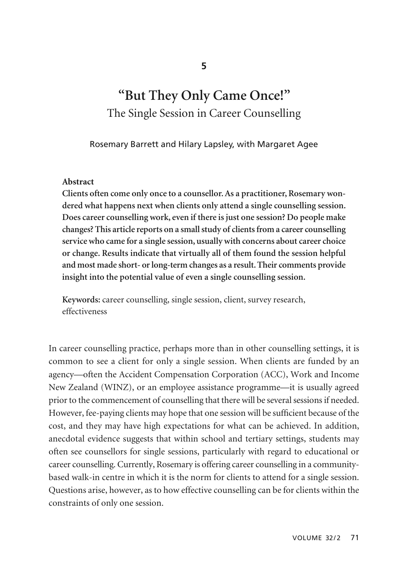# **5**

# **"But They Only Came Once!"**  The Single Session in Career Counselling

Rosemary Barrett and Hilary Lapsley, with Margaret Agee

#### **Abstract**

**Clients often come only once to a counsellor. As a practitioner, Rosemary wondered what happens next when clients only attend a single counselling session. Does career counselling work, even if there is just one session? Do people make changes? This article reports on a small study of clients from a career counselling service who came for a single session, usually with concerns about career choice or change. Results indicate that virtually all of them found the session helpful and most made short- or long-term changes as a result. Their comments provide insight into the potential value of even a single counselling session.**

**Keywords:** career counselling, single session, client, survey research, effectiveness

In career counselling practice, perhaps more than in other counselling settings, it is common to see a client for only a single session. When clients are funded by an agency—often the Accident Compensation Corporation (ACC), Work and Income New Zealand (WINZ), or an employee assistance programme—it is usually agreed prior to the commencement of counselling that there will be several sessions if needed. However, fee-paying clients may hope that one session will be sufficient because of the cost, and they may have high expectations for what can be achieved. In addition, anecdotal evidence suggests that within school and tertiary settings, students may often see counsellors for single sessions, particularly with regard to educational or career counselling. Currently, Rosemary is offering career counselling in a communitybased walk-in centre in which it is the norm for clients to attend for a single session. Questions arise, however, as to how effective counselling can be for clients within the constraints of only one session.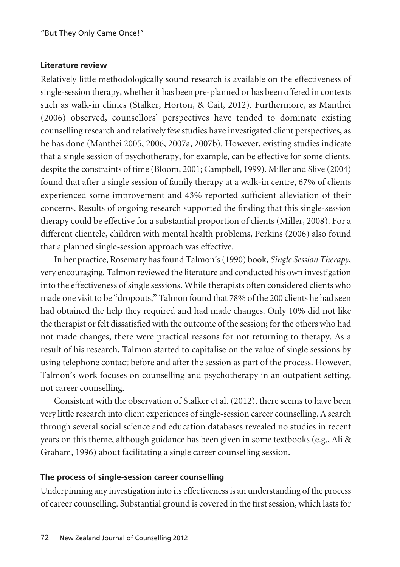#### **Literature review**

Relatively little methodologically sound research is available on the effectiveness of single-session therapy, whether it has been pre-planned or has been offered in contexts such as walk-in clinics (Stalker, Horton, & Cait, 2012). Furthermore, as Manthei (2006) observed, counsellors' perspectives have tended to dominate existing counselling research and relatively few studies have investigated client perspectives, as he has done (Manthei 2005, 2006, 2007a, 2007b). However, existing studies indicate that a single session of psychotherapy, for example, can be effective for some clients, despite the constraints of time (Bloom, 2001; Campbell, 1999). Miller and Slive (2004) found that after a single session of family therapy at a walk-in centre, 67% of clients experienced some improvement and 43% reported sufficient alleviation of their concerns. Results of ongoing research supported the finding that this single-session therapy could be effective for a substantial proportion of clients (Miller, 2008). For a different clientele, children with mental health problems, Perkins (2006) also found that a planned single-session approach was effective.

In her practice, Rosemary has found Talmon's (1990) book, *Single Session Therapy*, very encouraging. Talmon reviewed the literature and conducted his own investigation into the effectiveness of single sessions. While therapists often considered clients who made one visit to be "dropouts," Talmon found that 78% of the 200 clients he had seen had obtained the help they required and had made changes. Only 10% did not like the therapist or felt dissatisfied with the outcome of the session; for the others who had not made changes, there were practical reasons for not returning to therapy. As a result of his research, Talmon started to capitalise on the value of single sessions by using telephone contact before and after the session as part of the process. However, Talmon's work focuses on counselling and psychotherapy in an outpatient setting, not career counselling.

Consistent with the observation of Stalker et al. (2012), there seems to have been very little research into client experiences of single-session career counselling. A search through several social science and education databases revealed no studies in recent years on this theme, although guidance has been given in some textbooks (e.g., Ali & Graham, 1996) about facilitating a single career counselling session.

#### **The process of single-session career counselling**

Underpinning any investigation into its effectiveness is an understanding of the process of career counselling. Substantial ground is covered in the first session, which lasts for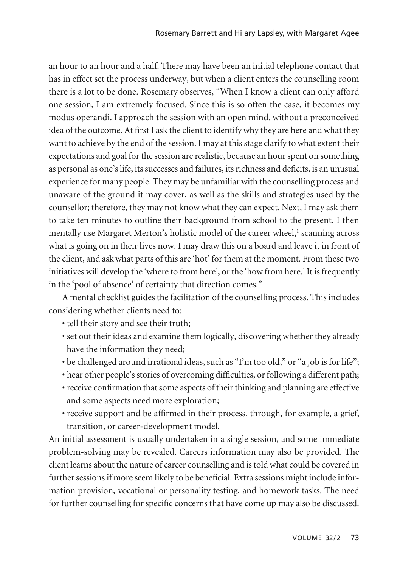an hour to an hour and a half. There may have been an initial telephone contact that has in effect set the process underway, but when a client enters the counselling room there is a lot to be done. Rosemary observes, "When I know a client can only afford one session, I am extremely focused. Since this is so often the case, it becomes my modus operandi. I approach the session with an open mind, without a preconceived idea of the outcome. At first I ask the client to identify why they are here and what they want to achieve by the end of the session. I may at this stage clarify to what extent their expectations and goal for the session are realistic, because an hour spent on something as personal as one's life, its successes and failures, its richness and deficits, is an unusual experience for many people. They may be unfamiliar with the counselling process and unaware of the ground it may cover, as well as the skills and strategies used by the counsellor; therefore, they may not know what they can expect. Next, I may ask them to take ten minutes to outline their background from school to the present. I then mentally use Margaret Merton's holistic model of the career wheel, $<sup>1</sup>$  scanning across</sup> what is going on in their lives now. I may draw this on a board and leave it in front of the client, and ask what parts of this are 'hot' for them at the moment. From these two initiatives will develop the 'where to from here', or the 'how from here.' It is frequently in the 'pool of absence' of certainty that direction comes."

A mental checklist guides the facilitation of the counselling process. This includes considering whether clients need to:

- tell their story and see their truth;
- set out their ideas and examine them logically, discovering whether they already have the information they need;
- be challenged around irrational ideas, such as "I'm too old," or "a job is for life";
- hear other people's stories of overcoming difficulties, or following a different path;
- receive confirmation that some aspects of their thinking and planning are effective and some aspects need more exploration;
- receive support and be affirmed in their process, through, for example, a grief, transition, or career-development model.

An initial assessment is usually undertaken in a single session, and some immediate problem-solving may be revealed. Careers information may also be provided. The client learns about the nature of career counselling and is told what could be covered in further sessions if more seem likely to be beneficial. Extra sessions might include information provision, vocational or personality testing, and homework tasks. The need for further counselling for specific concerns that have come up may also be discussed.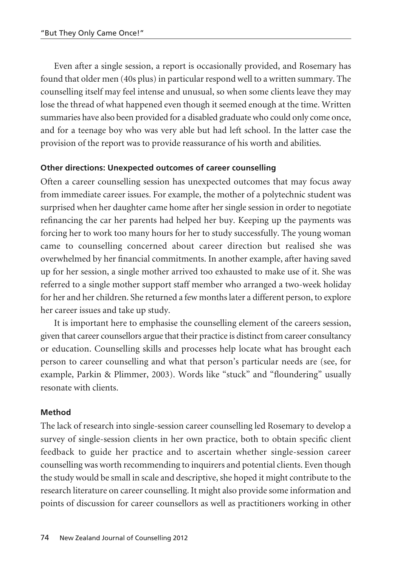Even after a single session, a report is occasionally provided, and Rosemary has found that older men (40s plus) in particular respond well to a written summary. The counselling itself may feel intense and unusual, so when some clients leave they may lose the thread of what happened even though it seemed enough at the time. Written summaries have also been provided for a disabled graduate who could only come once, and for a teenage boy who was very able but had left school. In the latter case the provision of the report was to provide reassurance of his worth and abilities.

#### **Other directions: Unexpected outcomes of career counselling**

Often a career counselling session has unexpected outcomes that may focus away from immediate career issues. For example, the mother of a polytechnic student was surprised when her daughter came home after her single session in order to negotiate refinancing the car her parents had helped her buy. Keeping up the payments was forcing her to work too many hours for her to study successfully. The young woman came to counselling concerned about career direction but realised she was overwhelmed by her financial commitments. In another example, after having saved up for her session, a single mother arrived too exhausted to make use of it. She was referred to a single mother support staff member who arranged a two-week holiday for her and her children. She returned a few months later a different person, to explore her career issues and take up study.

It is important here to emphasise the counselling element of the careers session, given that career counsellors argue that their practice is distinct from career consultancy or education. Counselling skills and processes help locate what has brought each person to career counselling and what that person's particular needs are (see, for example, Parkin & Plimmer, 2003). Words like "stuck" and "floundering" usually resonate with clients.

#### **Method**

The lack of research into single-session career counselling led Rosemary to develop a survey of single-session clients in her own practice, both to obtain specific client feedback to guide her practice and to ascertain whether single-session career counselling was worth recommending to inquirers and potential clients. Even though the study would be small in scale and descriptive, she hoped it might contribute to the research literature on career counselling. It might also provide some information and points of discussion for career counsellors as well as practitioners working in other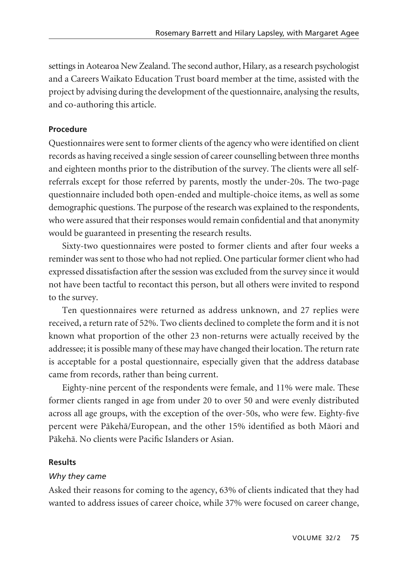settings in Aotearoa New Zealand. The second author, Hilary, as a research psychologist and a Careers Waikato Education Trust board member at the time, assisted with the project by advising during the development of the questionnaire, analysing the results, and co-authoring this article.

#### **Procedure**

Questionnaires were sent to former clients of the agency who were identified on client records as having received a single session of career counselling between three months and eighteen months prior to the distribution of the survey. The clients were all selfreferrals except for those referred by parents, mostly the under-20s. The two-page questionnaire included both open-ended and multiple-choice items, as well as some demographic questions. The purpose of the research was explained to the respondents, who were assured that their responses would remain confidential and that anonymity would be guaranteed in presenting the research results.

Sixty-two questionnaires were posted to former clients and after four weeks a reminder was sent to those who had not replied. One particular former client who had expressed dissatisfaction after the session was excluded from the survey since it would not have been tactful to recontact this person, but all others were invited to respond to the survey.

Ten questionnaires were returned as address unknown, and 27 replies were received, a return rate of 52%. Two clients declined to complete the form and it is not known what proportion of the other 23 non-returns were actually received by the addressee; it is possible many of these may have changed their location. The return rate is acceptable for a postal questionnaire, especially given that the address database came from records, rather than being current.

Eighty-nine percent of the respondents were female, and 11% were male. These former clients ranged in age from under 20 to over 50 and were evenly distributed across all age groups, with the exception of the over-50s, who were few. Eighty-five percent were Päkehä/European, and the other 15% identified as both Mäori and Päkehä. No clients were Pacific Islanders or Asian.

#### **Results**

## *Why they came*

Asked their reasons for coming to the agency, 63% of clients indicated that they had wanted to address issues of career choice, while 37% were focused on career change,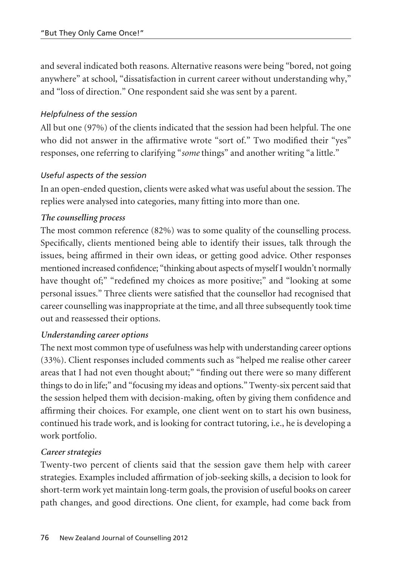and several indicated both reasons. Alternative reasons were being "bored, not going anywhere" at school, "dissatisfaction in current career without understanding why," and "loss of direction." One respondent said she was sent by a parent.

# *Helpfulness of the session*

All but one (97%) of the clients indicated that the session had been helpful. The one who did not answer in the affirmative wrote "sort of." Two modified their "yes" responses, one referring to clarifying "*some* things" and another writing "a little."

## *Useful aspects of the session*

In an open-ended question, clients were asked what was useful about the session. The replies were analysed into categories, many fitting into more than one.

## *The counselling process*

The most common reference (82%) was to some quality of the counselling process. Specifically, clients mentioned being able to identify their issues, talk through the issues, being affirmed in their own ideas, or getting good advice. Other responses mentioned increased confidence; "thinking about aspects of myself I wouldn't normally have thought of;" "redefined my choices as more positive;" and "looking at some personal issues." Three clients were satisfied that the counsellor had recognised that career counselling was inappropriate at the time, and all three subsequently took time out and reassessed their options.

# *Understanding career options*

The next most common type of usefulness was help with understanding career options (33%). Client responses included comments such as "helped me realise other career areas that I had not even thought about;" "finding out there were so many different things to do in life;" and "focusing my ideas and options." Twenty-six percent said that the session helped them with decision-making, often by giving them confidence and affirming their choices. For example, one client went on to start his own business, continued his trade work, and is looking for contract tutoring, i.e., he is developing a work portfolio.

## *Career strategies*

Twenty-two percent of clients said that the session gave them help with career strategies. Examples included affirmation of job-seeking skills, a decision to look for short-term work yet maintain long-term goals, the provision of useful books on career path changes, and good directions. One client, for example, had come back from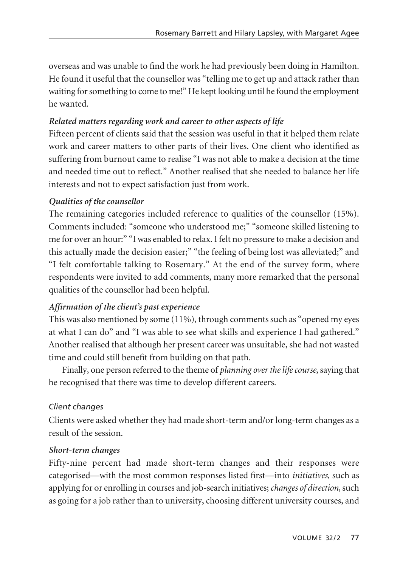overseas and was unable to find the work he had previously been doing in Hamilton. He found it useful that the counsellor was "telling me to get up and attack rather than waiting for something to come to me!" He kept looking until he found the employment he wanted.

# *Related matters regarding work and career to other aspects of life*

Fifteen percent of clients said that the session was useful in that it helped them relate work and career matters to other parts of their lives. One client who identified as suffering from burnout came to realise "I was not able to make a decision at the time and needed time out to reflect." Another realised that she needed to balance her life interests and not to expect satisfaction just from work.

# *Qualities of the counsellor*

The remaining categories included reference to qualities of the counsellor (15%). Comments included: "someone who understood me;" "someone skilled listening to me for over an hour:" "I was enabled to relax. I felt no pressure to make a decision and this actually made the decision easier;" "the feeling of being lost was alleviated;" and "I felt comfortable talking to Rosemary." At the end of the survey form, where respondents were invited to add comments, many more remarked that the personal qualities of the counsellor had been helpful.

# *Affirmation of the client's past experience*

This was also mentioned by some (11%), through comments such as "opened my eyes at what I can do" and "I was able to see what skills and experience I had gathered." Another realised that although her present career was unsuitable, she had not wasted time and could still benefit from building on that path.

Finally, one person referred to the theme of *planning over the life course*, saying that he recognised that there was time to develop different careers.

## *Client changes*

Clients were asked whether they had made short-term and/or long-term changes as a result of the session.

## *Short-term changes*

Fifty-nine percent had made short-term changes and their responses were categorised—with the most common responses listed first—into *initiatives*, such as applying for or enrolling in courses and job-search initiatives; *changes of direction*, such as going for a job rather than to university, choosing different university courses, and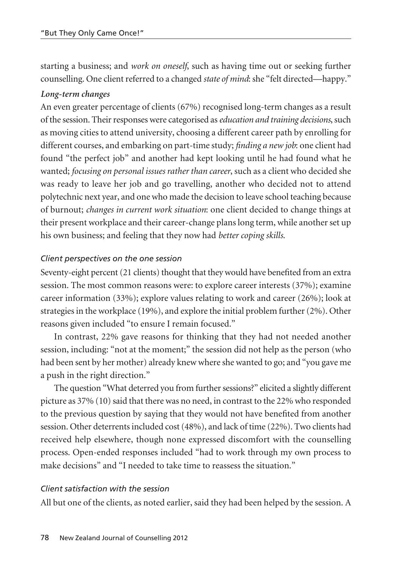starting a business; and *work on oneself*, such as having time out or seeking further counselling. One client referred to a changed *state of mind*: she "felt directed—happy."

#### *Long-term changes*

An even greater percentage of clients (67%) recognised long-term changes as a result of the session. Their responses were categorised as *education and training decisions*, such as moving cities to attend university, choosing a different career path by enrolling for different courses, and embarking on part-time study; *finding a new job*: one client had found "the perfect job" and another had kept looking until he had found what he wanted; *focusing on personal issues rather than career*, such as a client who decided she was ready to leave her job and go travelling, another who decided not to attend polytechnic next year, and one who made the decision to leave school teaching because of burnout; *changes in current work situation*: one client decided to change things at their present workplace and their career-change plans long term, while another set up his own business; and feeling that they now had *better coping skills*.

#### *Client perspectives on the one session*

Seventy-eight percent (21 clients) thought that they would have benefited from an extra session. The most common reasons were: to explore career interests (37%); examine career information (33%); explore values relating to work and career (26%); look at strategies in the workplace (19%), and explore the initial problem further (2%). Other reasons given included "to ensure I remain focused."

In contrast, 22% gave reasons for thinking that they had not needed another session, including: "not at the moment;" the session did not help as the person (who had been sent by her mother) already knew where she wanted to go; and "you gave me a push in the right direction."

The question "What deterred you from further sessions?" elicited a slightly different picture as 37% (10) said that there was no need, in contrast to the 22% who responded to the previous question by saying that they would not have benefited from another session. Other deterrents included cost (48%), and lack of time (22%). Two clients had received help elsewhere, though none expressed discomfort with the counselling process. Open-ended responses included "had to work through my own process to make decisions" and "I needed to take time to reassess the situation."

## *Client satisfaction with the session*

All but one of the clients, as noted earlier, said they had been helped by the session. A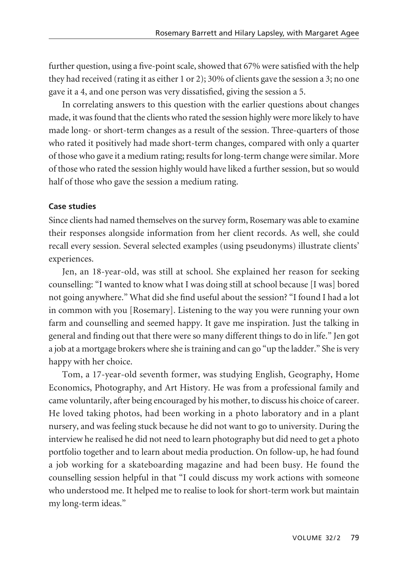further question, using a five-point scale, showed that 67% were satisfied with the help they had received (rating it as either 1 or 2); 30% of clients gave the session a 3; no one gave it a 4, and one person was very dissatisfied, giving the session a 5.

In correlating answers to this question with the earlier questions about changes made, it was found that the clients who rated the session highly were more likely to have made long- or short-term changes as a result of the session. Three-quarters of those who rated it positively had made short-term changes, compared with only a quarter of those who gave it a medium rating; results for long-term change were similar. More of those who rated the session highly would have liked a further session, but so would half of those who gave the session a medium rating.

#### **Case studies**

Since clients had named themselves on the survey form, Rosemary was able to examine their responses alongside information from her client records. As well, she could recall every session. Several selected examples (using pseudonyms) illustrate clients' experiences.

Jen, an 18-year-old, was still at school. She explained her reason for seeking counselling: "I wanted to know what I was doing still at school because [I was] bored not going anywhere." What did she find useful about the session? "I found I had a lot in common with you [Rosemary]. Listening to the way you were running your own farm and counselling and seemed happy. It gave me inspiration. Just the talking in general and finding out that there were so many different things to do in life." Jen got a job at a mortgage brokers where she is training and can go "up the ladder." She is very happy with her choice.

Tom, a 17-year-old seventh former, was studying English, Geography, Home Economics, Photography, and Art History. He was from a professional family and came voluntarily, after being encouraged by his mother, to discuss his choice of career. He loved taking photos, had been working in a photo laboratory and in a plant nursery, and was feeling stuck because he did not want to go to university. During the interview he realised he did not need to learn photography but did need to get a photo portfolio together and to learn about media production. On follow-up, he had found a job working for a skateboarding magazine and had been busy. He found the counselling session helpful in that "I could discuss my work actions with someone who understood me. It helped me to realise to look for short-term work but maintain my long-term ideas."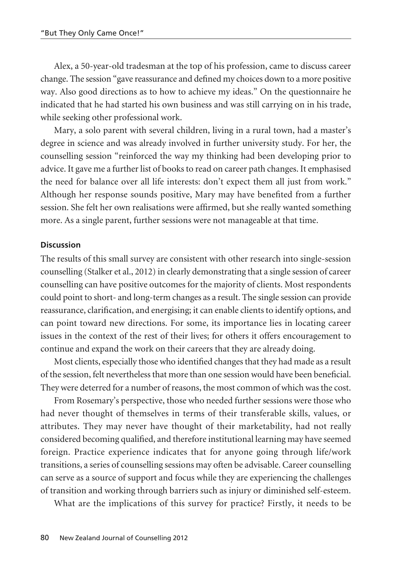Alex, a 50-year-old tradesman at the top of his profession, came to discuss career change. The session "gave reassurance and defined my choices down to a more positive way. Also good directions as to how to achieve my ideas." On the questionnaire he indicated that he had started his own business and was still carrying on in his trade, while seeking other professional work.

Mary, a solo parent with several children, living in a rural town, had a master's degree in science and was already involved in further university study. For her, the counselling session "reinforced the way my thinking had been developing prior to advice. It gave me a further list of books to read on career path changes. It emphasised the need for balance over all life interests: don't expect them all just from work." Although her response sounds positive, Mary may have benefited from a further session. She felt her own realisations were affirmed, but she really wanted something more. As a single parent, further sessions were not manageable at that time.

#### **Discussion**

The results of this small survey are consistent with other research into single-session counselling (Stalker et al., 2012) in clearly demonstrating that a single session of career counselling can have positive outcomes for the majority of clients. Most respondents could point to short- and long-term changes as a result. The single session can provide reassurance, clarification, and energising; it can enable clients to identify options, and can point toward new directions. For some, its importance lies in locating career issues in the context of the rest of their lives; for others it offers encouragement to continue and expand the work on their careers that they are already doing.

Most clients, especially those who identified changes that they had made as a result of the session, felt nevertheless that more than one session would have been beneficial. They were deterred for a number of reasons, the most common of which was the cost.

From Rosemary's perspective, those who needed further sessions were those who had never thought of themselves in terms of their transferable skills, values, or attributes. They may never have thought of their marketability, had not really considered becoming qualified, and therefore institutional learning may have seemed foreign. Practice experience indicates that for anyone going through life/work transitions, a series of counselling sessions may often be advisable. Career counselling can serve as a source of support and focus while they are experiencing the challenges of transition and working through barriers such as injury or diminished self-esteem.

What are the implications of this survey for practice? Firstly, it needs to be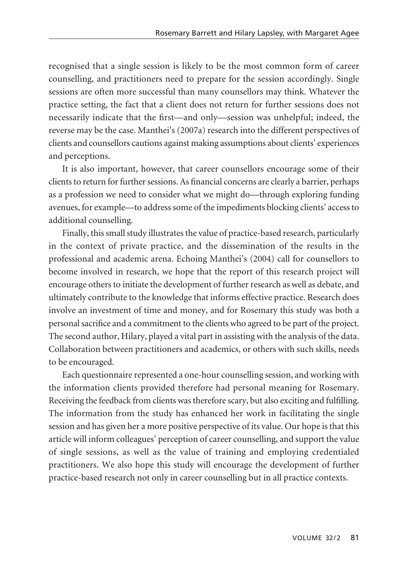recognised that a single session is likely to be the most common form of career counselling, and practitioners need to prepare for the session accordingly. Single sessions are often more successful than many counsellors may think. Whatever the practice setting, the fact that a client does not return for further sessions does not necessarily indicate that the first—and only—session was unhelpful; indeed, the reverse may be the case. Manthei's (2007a) research into the different perspectives of clients and counsellors cautions against making assumptions about clients' experiences and perceptions.

It is also important, however, that career counsellors encourage some of their clients to return for further sessions. As financial concerns are clearly a barrier, perhaps as a profession we need to consider what we might do—through exploring funding avenues, for example—to address some of the impediments blocking clients' access to additional counselling.

Finally, this small study illustrates the value of practice-based research, particularly in the context of private practice, and the dissemination of the results in the professional and academic arena. Echoing Manthei's (2004) call for counsellors to become involved in research, we hope that the report of this research project will encourage others to initiate the development of further research as well as debate, and ultimately contribute to the knowledge that informs effective practice. Research does involve an investment of time and money, and for Rosemary this study was both a personal sacrifice and a commitment to the clients who agreed to be part of the project. The second author, Hilary, played a vital part in assisting with the analysis of the data. Collaboration between practitioners and academics, or others with such skills, needs to be encouraged.

Each questionnaire represented a one-hour counselling session, and working with the information clients provided therefore had personal meaning for Rosemary. Receiving the feedback from clients was therefore scary, but also exciting and fulfilling. The information from the study has enhanced her work in facilitating the single session and has given her a more positive perspective of its value. Our hope is that this article will inform colleagues' perception of career counselling, and support the value of single sessions, as well as the value of training and employing credentialed practitioners. We also hope this study will encourage the development of further practice-based research not only in career counselling but in all practice contexts.